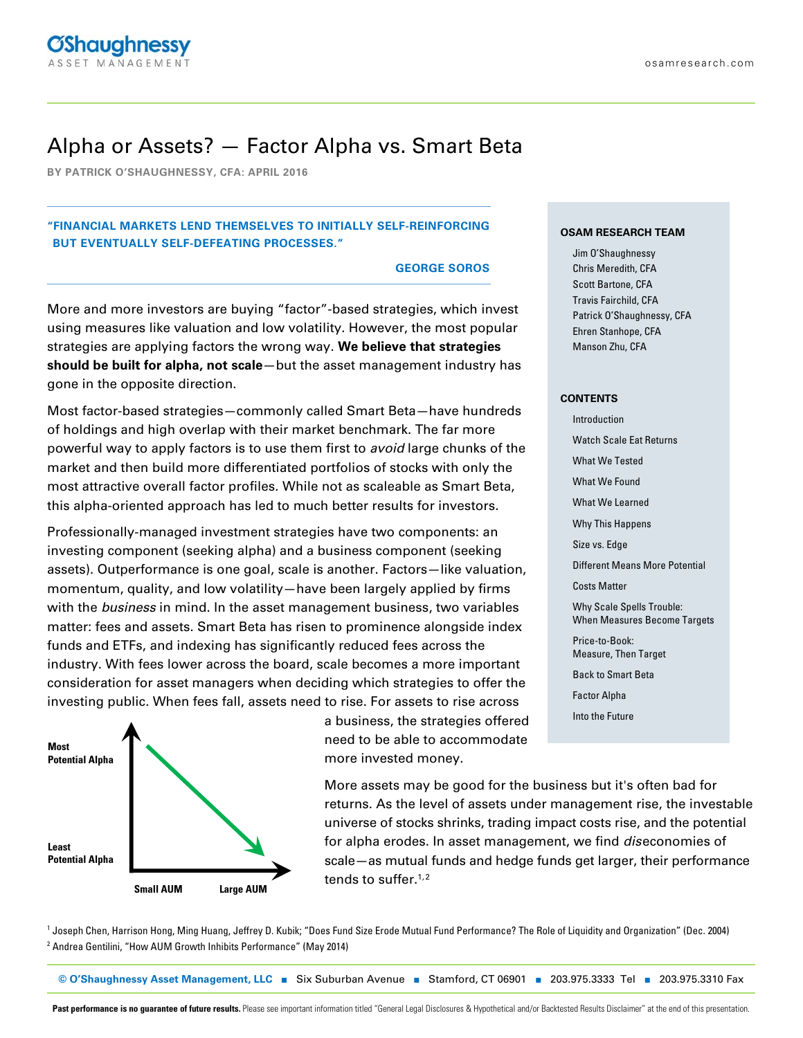# Alpha or Assets? — Factor Alpha vs. Smart Beta

**BY PATRICK O'SHAUGHNESSY, CFA: APRIL 2016**

### **"FINANCIAL MARKETS LEND THEMSELVES TO INITIALLY SELF-REINFORCING BUT EVENTUALLY SELF-DEFEATING PROCESSES."**

**GEORGE SOROS** 

More and more investors are buying "factor"-based strategies, which invest using measures like valuation and low volatility. However, the most popular strategies are applying factors the wrong way. **We believe that strategies should be built for alpha, not scale**—but the asset management industry has gone in the opposite direction.

Most factor-based strategies—commonly called Smart Beta—have hundreds of holdings and high overlap with their market benchmark. The far more powerful way to apply factors is to use them first to avoid large chunks of the market and then build more differentiated portfolios of stocks with only the most attractive overall factor profiles. While not as scaleable as Smart Beta, this alpha-oriented approach has led to much better results for investors.

Professionally-managed investment strategies have two components: an investing component (seeking alpha) and a business component (seeking assets). Outperformance is one goal, scale is another. Factors—like valuation, momentum, quality, and low volatility—have been largely applied by firms with the business in mind. In the asset management business, two variables matter: fees and assets. Smart Beta has risen to prominence alongside index funds and ETFs, and indexing has significantly reduced fees across the industry. With fees lower across the board, scale becomes a more important consideration for asset managers when deciding which strategies to offer the investing public. When fees fall, assets need to rise. For assets to rise across



a business, the strategies offered need to be able to accommodate more invested money.

**OSAM RESEARCH TEAM**

Jim O'Shaughnessy Chris Meredith, CFA Scott Bartone, CFA Travis Fairchild, CFA Patrick O'Shaughnessy, CFA Ehren Stanhope, CFA Manson Zhu, CFA

#### **CONTENTS**

Introduction Watch Scale Eat Returns What We Tested What We Found What We Learned Why This Happens Size vs. Edge Different Means More Potential Costs Matter Why Scale Spells Trouble: When Measures Become Targets Price-to-Book: Measure, Then Target Back to Smart Beta Factor Alpha Into the Future

returns. As the level of assets under management rise, the investable universe of stocks shrinks, trading impact costs rise, and the potential for alpha erodes. In asset management, we find diseconomies of scale—as mutual funds and hedge funds get larger, their performance tends to suffer. $^{1,2}$ 

More assets may be good for the business but it's often bad for

1 Joseph Chen, Harrison Hong, Ming Huang, Jeffrey D. Kubik; "Does Fund Size Erode Mutual Fund Performance? The Role of Liquidity and Organization" (Dec. 2004) <sup>2</sup> Andrea Gentilini, "How AUM Growth Inhibits Performance" (May 2014)

**© O'Shaughnessy Asset Management, LLC** ■ Six Suburban Avenue ■ Stamford, CT 06901 ■ 203.975.3333 Tel ■ 203.975.3310 Fax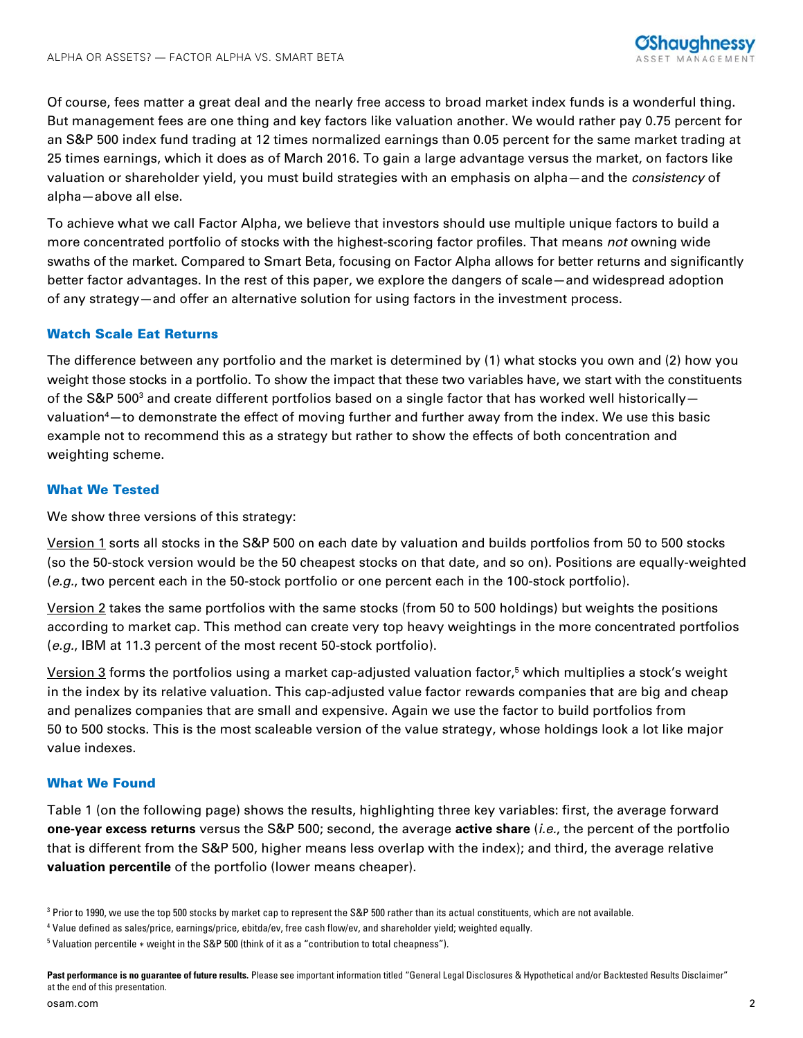Of course, fees matter a great deal and the nearly free access to broad market index funds is a wonderful thing. But management fees are one thing and key factors like valuation another. We would rather pay 0.75 percent for an S&P 500 index fund trading at 12 times normalized earnings than 0.05 percent for the same market trading at 25 times earnings, which it does as of March 2016. To gain a large advantage versus the market, on factors like valuation or shareholder yield, you must build strategies with an emphasis on alpha—and the consistency of alpha—above all else.

To achieve what we call Factor Alpha, we believe that investors should use multiple unique factors to build a more concentrated portfolio of stocks with the highest-scoring factor profiles. That means not owning wide swaths of the market. Compared to Smart Beta, focusing on Factor Alpha allows for better returns and significantly better factor advantages. In the rest of this paper, we explore the dangers of scale—and widespread adoption of any strategy—and offer an alternative solution for using factors in the investment process.

# Watch Scale Eat Returns

The difference between any portfolio and the market is determined by (1) what stocks you own and (2) how you weight those stocks in a portfolio. To show the impact that these two variables have, we start with the constituents of the S&P 500 $^{\rm 3}$  and create different portfolios based on a single factor that has worked well historically valuation4 —to demonstrate the effect of moving further and further away from the index. We use this basic example not to recommend this as a strategy but rather to show the effects of both concentration and weighting scheme.

# What We Tested

We show three versions of this strategy:

Version 1 sorts all stocks in the S&P 500 on each date by valuation and builds portfolios from 50 to 500 stocks (so the 50-stock version would be the 50 cheapest stocks on that date, and so on). Positions are equally-weighted (e.g., two percent each in the 50-stock portfolio or one percent each in the 100-stock portfolio).

Version 2 takes the same portfolios with the same stocks (from 50 to 500 holdings) but weights the positions according to market cap. This method can create very top heavy weightings in the more concentrated portfolios (e.g., IBM at 11.3 percent of the most recent 50-stock portfolio).

<u>Version 3</u> forms the portfolios using a market cap-adjusted valuation factor,<sup>5</sup> which multiplies a stock's weight in the index by its relative valuation. This cap-adjusted value factor rewards companies that are big and cheap and penalizes companies that are small and expensive. Again we use the factor to build portfolios from 50 to 500 stocks. This is the most scaleable version of the value strategy, whose holdings look a lot like major value indexes.

#### What We Found

Table 1 (on the following page) shows the results, highlighting three key variables: first, the average forward **one-year excess returns** versus the S&P 500; second, the average **active share** (i.e., the percent of the portfolio that is different from the S&P 500, higher means less overlap with the index); and third, the average relative **valuation percentile** of the portfolio (lower means cheaper).

 $^3$  Prior to 1990, we use the top 500 stocks by market cap to represent the S&P 500 rather than its actual constituents, which are not available.

<sup>4</sup> Value defined as sales/price, earnings/price, ebitda/ev, free cash flow/ev, and shareholder yield; weighted equally.

 $^5$  Valuation percentile  $\ast$  weight in the S&P 500 (think of it as a "contribution to total cheapness").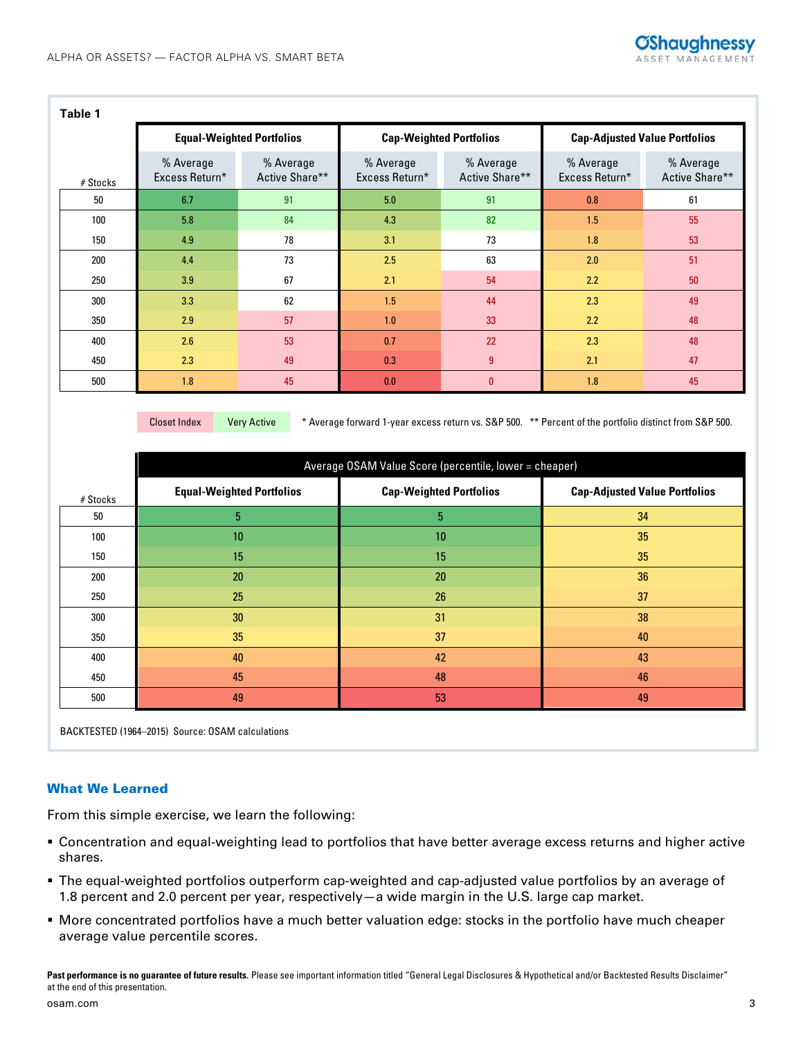| Table 1  |                                                            |    |                                |                             |                                      |                             |  |  |  |  |
|----------|------------------------------------------------------------|----|--------------------------------|-----------------------------|--------------------------------------|-----------------------------|--|--|--|--|
|          | <b>Equal-Weighted Portfolios</b>                           |    | <b>Cap-Weighted Portfolios</b> |                             | <b>Cap-Adjusted Value Portfolios</b> |                             |  |  |  |  |
| # Stocks | % Average<br>% Average<br>Active Share**<br>Excess Return* |    | % Average<br>Excess Return*    | % Average<br>Active Share** |                                      | % Average<br>Active Share** |  |  |  |  |
| 50       | 6.7                                                        | 91 | 5.0                            | 91                          | 0.8                                  | 61                          |  |  |  |  |
| 100      | 5.8                                                        | 84 | 4.3                            | 82                          | 1.5                                  | 55                          |  |  |  |  |
| 150      | 4.9                                                        | 78 | 3.1                            | 73                          | 1.8                                  | 53                          |  |  |  |  |
| 200      | 4.4                                                        | 73 | 2.5                            | 63                          | 2.0                                  | 51                          |  |  |  |  |
| 250      | 3.9                                                        | 67 | 2.1                            | 54                          | 2.2                                  | 50                          |  |  |  |  |
| 300      | 3.3                                                        | 62 | 1.5                            | 44                          | 2.3                                  | 49                          |  |  |  |  |
| 350      | 2.9                                                        | 57 | 1.0                            | 33                          | 2.2                                  | 48                          |  |  |  |  |
| 400      | 2.6                                                        | 53 | 0.7                            | 22                          | 2.3                                  | 48                          |  |  |  |  |
| 450      | 2.3                                                        | 49 | 0.3                            | 9                           | 2.1                                  | 47                          |  |  |  |  |
| 500      | 1.8                                                        | 45 | 0.0                            | $\bf{0}$                    | 1.8                                  | 45                          |  |  |  |  |

Closet Index Very Active \* Average forward 1-year excess return vs. S&P 500. \*\* Percent of the portfolio distinct from S&P 500.

|          | Average OSAM Value Score (percentile, lower = cheaper) |                                |                                      |  |  |  |  |  |  |  |
|----------|--------------------------------------------------------|--------------------------------|--------------------------------------|--|--|--|--|--|--|--|
| # Stocks | <b>Equal-Weighted Portfolios</b>                       | <b>Cap-Weighted Portfolios</b> | <b>Cap-Adjusted Value Portfolios</b> |  |  |  |  |  |  |  |
| 50       | 5                                                      | 5                              | 34                                   |  |  |  |  |  |  |  |
| 100      | 10                                                     | 10                             | 35                                   |  |  |  |  |  |  |  |
| 150      | 15                                                     | 15                             | 35                                   |  |  |  |  |  |  |  |
| 200      | 20                                                     | 20                             | 36                                   |  |  |  |  |  |  |  |
| 250      | 25                                                     | 26                             | 37                                   |  |  |  |  |  |  |  |
| 300      | 30                                                     | 31                             | 38                                   |  |  |  |  |  |  |  |
| 350      | 35                                                     | 37                             | 40                                   |  |  |  |  |  |  |  |
| 400      | 40                                                     | 42                             | 43                                   |  |  |  |  |  |  |  |
| 450      | 45                                                     | 48                             | 46                                   |  |  |  |  |  |  |  |
| 500      | 49                                                     | 53                             | 49                                   |  |  |  |  |  |  |  |

BACKTESTED (1964–2015) Source: OSAM calculations

#### What We Learned

From this simple exercise, we learn the following:

- Concentration and equal-weighting lead to portfolios that have better average excess returns and higher active shares.
- The equal-weighted portfolios outperform cap-weighted and cap-adjusted value portfolios by an average of 1.8 percent and 2.0 percent per year, respectively—a wide margin in the U.S. large cap market.
- More concentrated portfolios have a much better valuation edge: stocks in the portfolio have much cheaper average value percentile scores.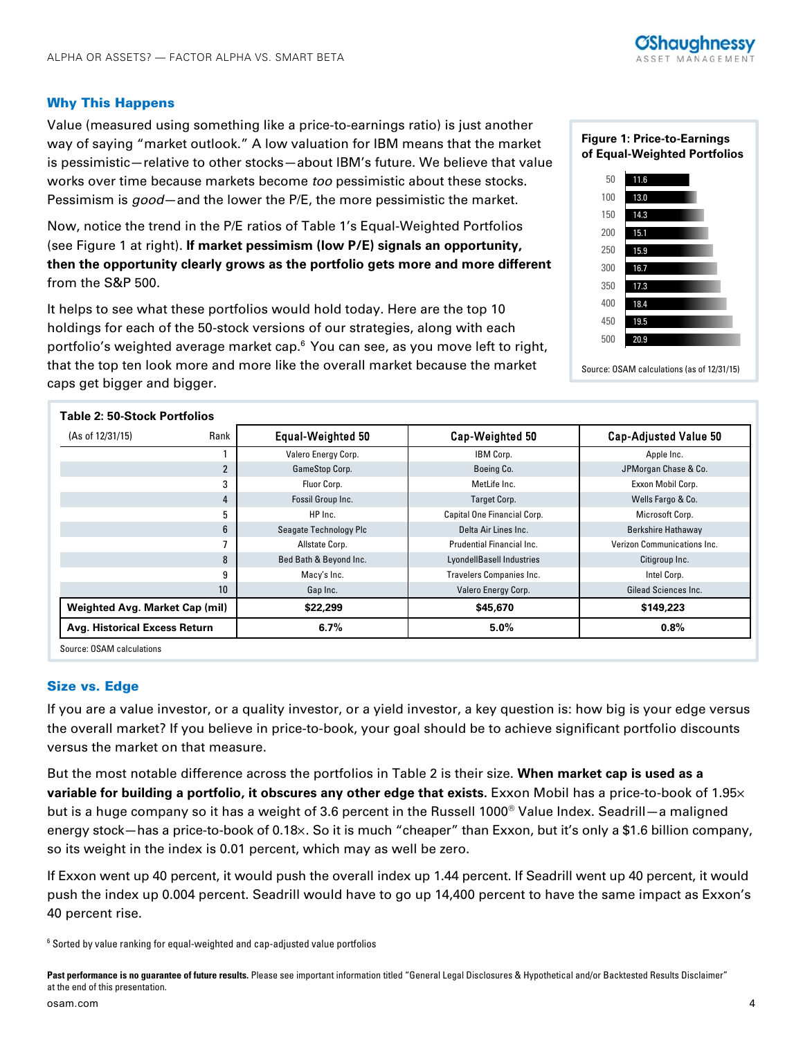#### Why This Happens

Value (measured using something like a price-to-earnings ratio) is just another way of saying "market outlook." A low valuation for IBM means that the market is pessimistic—relative to other stocks—about IBM's future. We believe that value works over time because markets become too pessimistic about these stocks. Pessimism is good—and the lower the P/E, the more pessimistic the market.

Now, notice the trend in the P/E ratios of Table 1's Equal-Weighted Portfolios (see Figure 1 at right). **If market pessimism (low P/E) signals an opportunity, then the opportunity clearly grows as the portfolio gets more and more different** from the S&P 500.

It helps to see what these portfolios would hold today. Here are the top 10 holdings for each of the 50-stock versions of our strategies, along with each portfolio's weighted average market cap.<sup>6</sup> You can see, as you move left to right, that the top ten look more and more like the overall market because the market caps get bigger and bigger.

| (As of 12/31/15)               | Rank            | Equal-Weighted 50      | Cap-Weighted 50                 | <b>Cap-Adjusted Value 50</b> |  |  |
|--------------------------------|-----------------|------------------------|---------------------------------|------------------------------|--|--|
|                                |                 | Valero Energy Corp.    | IBM Corp.                       | Apple Inc.                   |  |  |
|                                | $\overline{2}$  | GameStop Corp.         | Boeing Co.                      | JPMorgan Chase & Co.         |  |  |
|                                | 3               | Fluor Corp.            | MetLife Inc.                    | Exxon Mobil Corp.            |  |  |
|                                | 4               | Fossil Group Inc.      | Target Corp.                    | Wells Fargo & Co.            |  |  |
|                                | 5               | HP Inc.                | Capital One Financial Corp.     | Microsoft Corp.              |  |  |
| 6<br>8                         |                 | Seagate Technology Plc | Delta Air Lines Inc.            | Berkshire Hathaway           |  |  |
|                                |                 | Allstate Corp.         | Prudential Financial Inc.       | Verizon Communications Inc.  |  |  |
|                                |                 | Bed Bath & Beyond Inc. | LyondellBasell Industries       | Citigroup Inc.               |  |  |
|                                | 9               | Macy's Inc.            | <b>Travelers Companies Inc.</b> | Intel Corp.                  |  |  |
|                                | 10 <sup>°</sup> | Gap Inc.               | Valero Energy Corp.             | Gilead Sciences Inc.         |  |  |
| Weighted Avg. Market Cap (mil) |                 | \$22,299               | \$45,670                        | \$149,223                    |  |  |
| Avg. Historical Excess Return  |                 | 6.7%                   | 5.0%                            | 0.8%                         |  |  |

Source: OSAM calculations

#### Size vs. Edge

If you are a value investor, or a quality investor, or a yield investor, a key question is: how big is your edge versus the overall market? If you believe in price-to-book, your goal should be to achieve significant portfolio discounts versus the market on that measure.

But the most notable difference across the portfolios in Table 2 is their size. **When market cap is used as a variable for building a portfolio, it obscures any other edge that exists. Exxon Mobil has a price-to-book of 1.95** $\times$ but is a huge company so it has a weight of 3.6 percent in the Russell 1000® Value Index. Seadrill—a maligned energy stock—has a price-to-book of 0.18 $\times$ . So it is much "cheaper" than Exxon, but it's only a \$1.6 billion company, so its weight in the index is 0.01 percent, which may as well be zero.

If Exxon went up 40 percent, it would push the overall index up 1.44 percent. If Seadrill went up 40 percent, it would push the index up 0.004 percent. Seadrill would have to go up 14,400 percent to have the same impact as Exxon's 40 percent rise.

6 Sorted by value ranking for equal-weighted and cap-adjusted value portfolios

osam.com 4 Past performance is no guarantee of future results. Please see important information titled "General Legal Disclosures & Hypothetical and/or Backtested Results Disclaimer" at the end of this presentation.



Source: OSAM calculations (as of 12/31/15)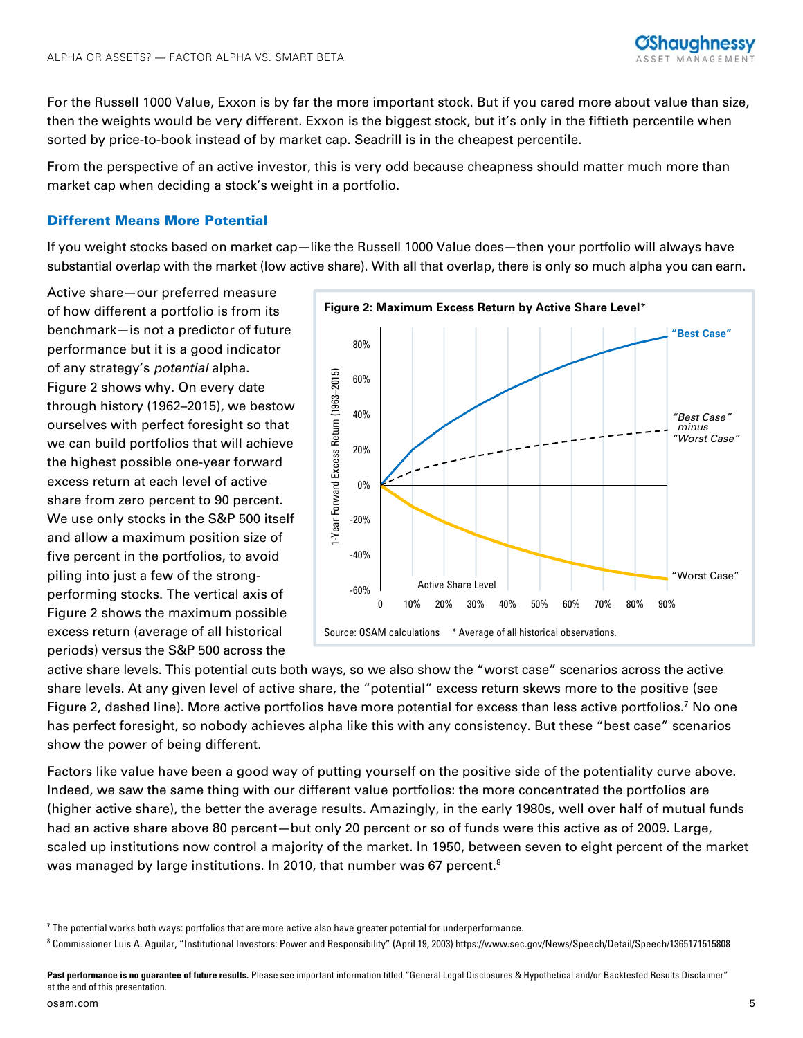For the Russell 1000 Value, Exxon is by far the more important stock. But if you cared more about value than size, then the weights would be very different. Exxon is the biggest stock, but it's only in the fiftieth percentile when sorted by price-to-book instead of by market cap. Seadrill is in the cheapest percentile.

From the perspective of an active investor, this is very odd because cheapness should matter much more than market cap when deciding a stock's weight in a portfolio.

# Different Means More Potential

If you weight stocks based on market cap—like the Russell 1000 Value does—then your portfolio will always have substantial overlap with the market (low active share). With all that overlap, there is only so much alpha you can earn.

Active share—our preferred measure of how different a portfolio is from its benchmark—is not a predictor of future performance but it is a good indicator of any strategy's potential alpha. Figure 2 shows why. On every date through history (1962–2015), we bestow ourselves with perfect foresight so that we can build portfolios that will achieve the highest possible one-year forward excess return at each level of active share from zero percent to 90 percent. We use only stocks in the S&P 500 itself and allow a maximum position size of five percent in the portfolios, to avoid piling into just a few of the strongperforming stocks. The vertical axis of Figure 2 shows the maximum possible excess return (average of all historical periods) versus the S&P 500 across the



active share levels. This potential cuts both ways, so we also show the "worst case" scenarios across the active share levels. At any given level of active share, the "potential" excess return skews more to the positive (see Figure 2, dashed line). More active portfolios have more potential for excess than less active portfolios.<sup>7</sup> No one has perfect foresight, so nobody achieves alpha like this with any consistency. But these "best case" scenarios show the power of being different.

Factors like value have been a good way of putting yourself on the positive side of the potentiality curve above. Indeed, we saw the same thing with our different value portfolios: the more concentrated the portfolios are (higher active share), the better the average results. Amazingly, in the early 1980s, well over half of mutual funds had an active share above 80 percent—but only 20 percent or so of funds were this active as of 2009. Large, scaled up institutions now control a majority of the market. In 1950, between seven to eight percent of the market was managed by large institutions. In 2010, that number was 67 percent. $^8$ 

 $^7$  The potential works both ways: portfolios that are more active also have greater potential for underperformance.

<sup>8</sup> Commissioner Luis A. Aguilar, "Institutional Investors: Power and Responsibility" (April 19, 2003) https://www.sec.gov/News/Speech/Detail/Speech/1365171515808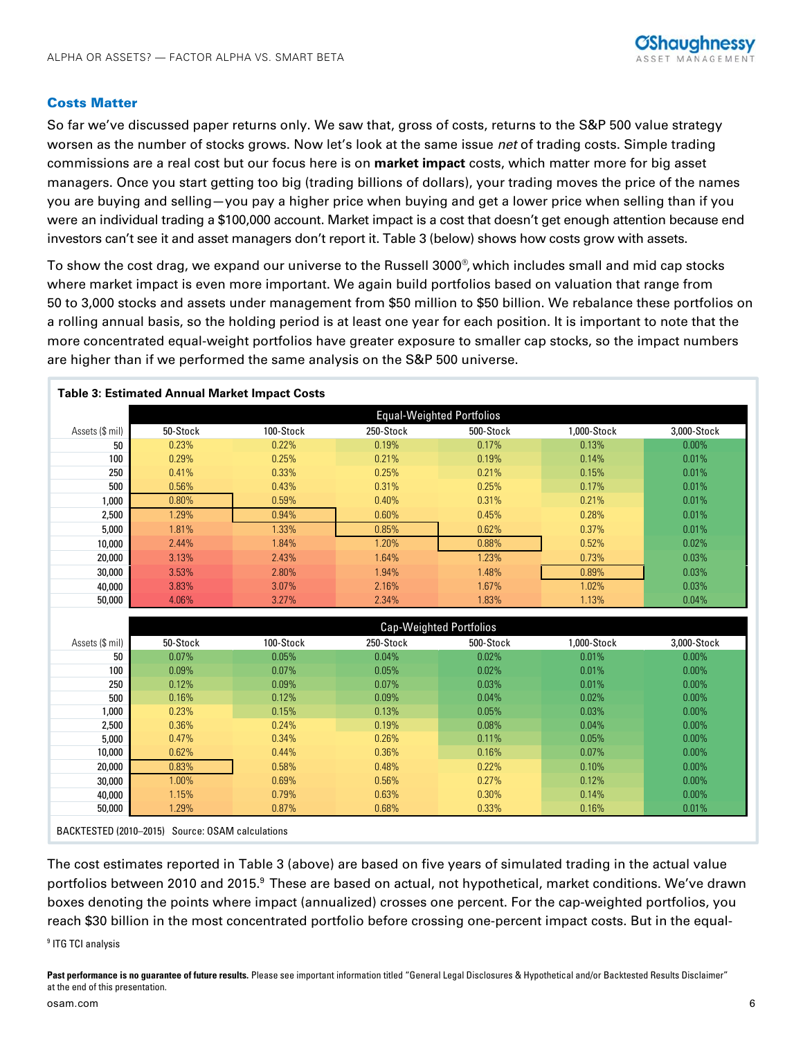#### Costs Matter

So far we've discussed paper returns only. We saw that, gross of costs, returns to the S&P 500 value strategy worsen as the number of stocks grows. Now let's look at the same issue net of trading costs. Simple trading commissions are a real cost but our focus here is on **market impact** costs, which matter more for big asset managers. Once you start getting too big (trading billions of dollars), your trading moves the price of the names you are buying and selling—you pay a higher price when buying and get a lower price when selling than if you were an individual trading a \$100,000 account. Market impact is a cost that doesn't get enough attention because end investors can't see it and asset managers don't report it. Table 3 (below) shows how costs grow with assets.

To show the cost drag, we expand our universe to the Russell 3000®, which includes small and mid cap stocks where market impact is even more important. We again build portfolios based on valuation that range from 50 to 3,000 stocks and assets under management from \$50 million to \$50 billion. We rebalance these portfolios on a rolling annual basis, so the holding period is at least one year for each position. It is important to note that the more concentrated equal-weight portfolios have greater exposure to smaller cap stocks, so the impact numbers are higher than if we performed the same analysis on the S&P 500 universe.

| <b>Equal-Weighted Portfolios</b> |          |           |           |                                |             |             |  |  |  |
|----------------------------------|----------|-----------|-----------|--------------------------------|-------------|-------------|--|--|--|
| Assets (\$ mil)                  | 50-Stock | 100-Stock | 250-Stock | 500-Stock                      | 1,000-Stock | 3,000-Stock |  |  |  |
| 50                               | 0.23%    | 0.22%     | 0.19%     | 0.17%                          | 0.13%       | 0.00%       |  |  |  |
| 100                              | 0.29%    | 0.25%     | 0.21%     | 0.19%                          | 0.14%       | 0.01%       |  |  |  |
| 250                              | 0.41%    | 0.33%     | 0.25%     | 0.21%                          | 0.15%       | 0.01%       |  |  |  |
| 500                              | 0.56%    | 0.43%     | 0.31%     | 0.25%                          | 0.17%       | 0.01%       |  |  |  |
| 1,000                            | 0.80%    | 0.59%     | 0.40%     | 0.31%                          | 0.21%       | 0.01%       |  |  |  |
| 2,500                            | 1.29%    | 0.94%     | 0.60%     | 0.45%                          | 0.28%       | 0.01%       |  |  |  |
| 5,000                            | 1.81%    | 1.33%     | 0.85%     | 0.62%                          | 0.37%       | 0.01%       |  |  |  |
| 10,000                           | 2.44%    | 1.84%     | 1.20%     | 0.88%                          | 0.52%       | 0.02%       |  |  |  |
| 20,000                           | 3.13%    | 2.43%     | 1.64%     | 1.23%                          | 0.73%       | 0.03%       |  |  |  |
| 30,000                           | 3.53%    | 2.80%     | 1.94%     | 1.48%                          | 0.89%       | 0.03%       |  |  |  |
| 40,000                           | 3.83%    | 3.07%     | 2.16%     | 1.67%                          | 1.02%       | 0.03%       |  |  |  |
| 50,000                           | 4.06%    | 3.27%     | 2.34%     | 1.83%                          | 1.13%       | 0.04%       |  |  |  |
|                                  |          |           |           |                                |             |             |  |  |  |
|                                  |          |           |           | <b>Cap-Weighted Portfolios</b> |             |             |  |  |  |
|                                  |          |           |           |                                |             |             |  |  |  |
| Assets (\$ mil)                  | 50-Stock | 100-Stock | 250-Stock | 500-Stock                      | 1,000-Stock | 3,000-Stock |  |  |  |
| 50                               | 0.07%    | 0.05%     | 0.04%     | 0.02%                          | 0.01%       | 0.00%       |  |  |  |
| 100                              | 0.09%    | 0.07%     | 0.05%     | 0.02%                          | 0.01%       | 0.00%       |  |  |  |
| 250                              | 0.12%    | 0.09%     | 0.07%     | 0.03%                          | 0.01%       | 0.00%       |  |  |  |
| 500                              | 0.16%    | 0.12%     | 0.09%     | 0.04%                          | 0.02%       | 0.00%       |  |  |  |
| 1,000                            | 0.23%    | 0.15%     | 0.13%     | 0.05%                          | 0.03%       | 0.00%       |  |  |  |
| 2,500                            | 0.36%    | 0.24%     | 0.19%     | 0.08%                          | 0.04%       | 0.00%       |  |  |  |
| 5,000                            | 0.47%    | 0.34%     | 0.26%     | 0.11%                          | 0.05%       | 0.00%       |  |  |  |
| 10,000                           | 0.62%    | 0.44%     | 0.36%     | 0.16%                          | 0.07%       | 0.00%       |  |  |  |
| 20,000                           | 0.83%    | 0.58%     | 0.48%     | 0.22%                          | 0.10%       | 0.00%       |  |  |  |
| 30,000                           | 1.00%    | 0.69%     | 0.56%     | 0.27%                          | 0.12%       | 0.00%       |  |  |  |
| 40,000                           | 1.15%    | 0.79%     | 0.63%     | 0.30%                          | 0.14%       | 0.00%       |  |  |  |

BACKTESTED (2010–2015) Source: OSAM calculations

The cost estimates reported in Table 3 (above) are based on five years of simulated trading in the actual value portfolios between 2010 and 2015.<sup>9</sup> These are based on actual, not hypothetical, market conditions. We've drawn boxes denoting the points where impact (annualized) crosses one percent. For the cap-weighted portfolios, you reach \$30 billion in the most concentrated portfolio before crossing one-percent impact costs. But in the equal-

<sup>9</sup> ITG TCI analysis

Past performance is no guarantee of future results. Please see important information titled "General Legal Disclosures & Hypothetical and/or Backtested Results Disclaimer" at the end of this presentation. osam.com 6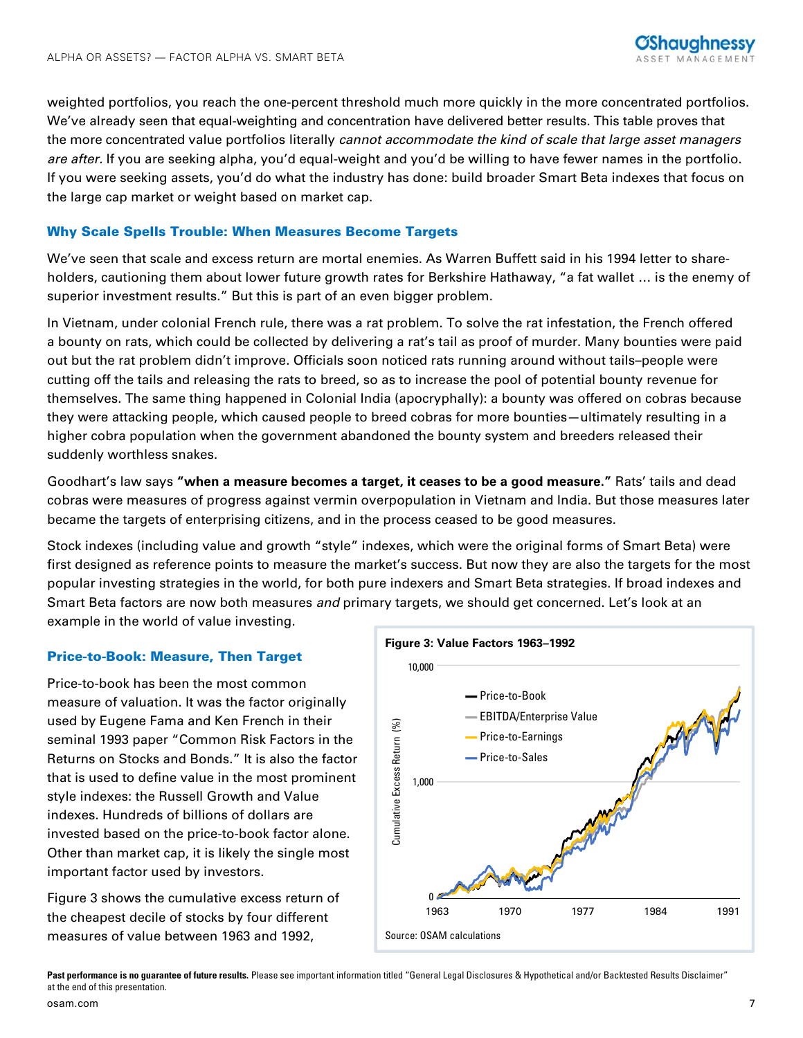weighted portfolios, you reach the one-percent threshold much more quickly in the more concentrated portfolios. We've already seen that equal-weighting and concentration have delivered better results. This table proves that the more concentrated value portfolios literally cannot accommodate the kind of scale that large asset managers are after. If you are seeking alpha, you'd equal-weight and you'd be willing to have fewer names in the portfolio. If you were seeking assets, you'd do what the industry has done: build broader Smart Beta indexes that focus on the large cap market or weight based on market cap.

# Why Scale Spells Trouble: When Measures Become Targets

We've seen that scale and excess return are mortal enemies. As Warren Buffett said in his 1994 letter to shareholders, cautioning them about lower future growth rates for Berkshire Hathaway, "a fat wallet … is the enemy of superior investment results." But this is part of an even bigger problem.

In Vietnam, under colonial French rule, there was a rat problem. To solve the rat infestation, the French offered a bounty on rats, which could be collected by delivering a rat's tail as proof of murder. Many bounties were paid out but the rat problem didn't improve. Officials soon noticed rats running around without tails–people were cutting off the tails and releasing the rats to breed, so as to increase the pool of potential bounty revenue for themselves. The same thing happened in Colonial India (apocryphally): a bounty was offered on cobras because they were attacking people, which caused people to breed cobras for more bounties—ultimately resulting in a higher cobra population when the government abandoned the bounty system and breeders released their suddenly worthless snakes.

Goodhart's law says **"when a measure becomes a target, it ceases to be a good measure."** Rats' tails and dead cobras were measures of progress against vermin overpopulation in Vietnam and India. But those measures later became the targets of enterprising citizens, and in the process ceased to be good measures.

Stock indexes (including value and growth "style" indexes, which were the original forms of Smart Beta) were first designed as reference points to measure the market's success. But now they are also the targets for the most popular investing strategies in the world, for both pure indexers and Smart Beta strategies. If broad indexes and Smart Beta factors are now both measures *and* primary targets, we should get concerned. Let's look at an example in the world of value investing.

#### Price-to-Book: Measure, Then Target

Price-to-book has been the most common measure of valuation. It was the factor originally used by Eugene Fama and Ken French in their seminal 1993 paper "Common Risk Factors in the Returns on Stocks and Bonds." It is also the factor that is used to define value in the most prominent style indexes: the Russell Growth and Value indexes. Hundreds of billions of dollars are invested based on the price-to-book factor alone. Other than market cap, it is likely the single most important factor used by investors.

Figure 3 shows the cumulative excess return of the cheapest decile of stocks by four different measures of value between 1963 and 1992,



Past performance is no guarantee of future results. Please see important information titled "General Legal Disclosures & Hypothetical and/or Backtested Results Disclaimer" at the end of this presentation. osam.com  $\overline{7}$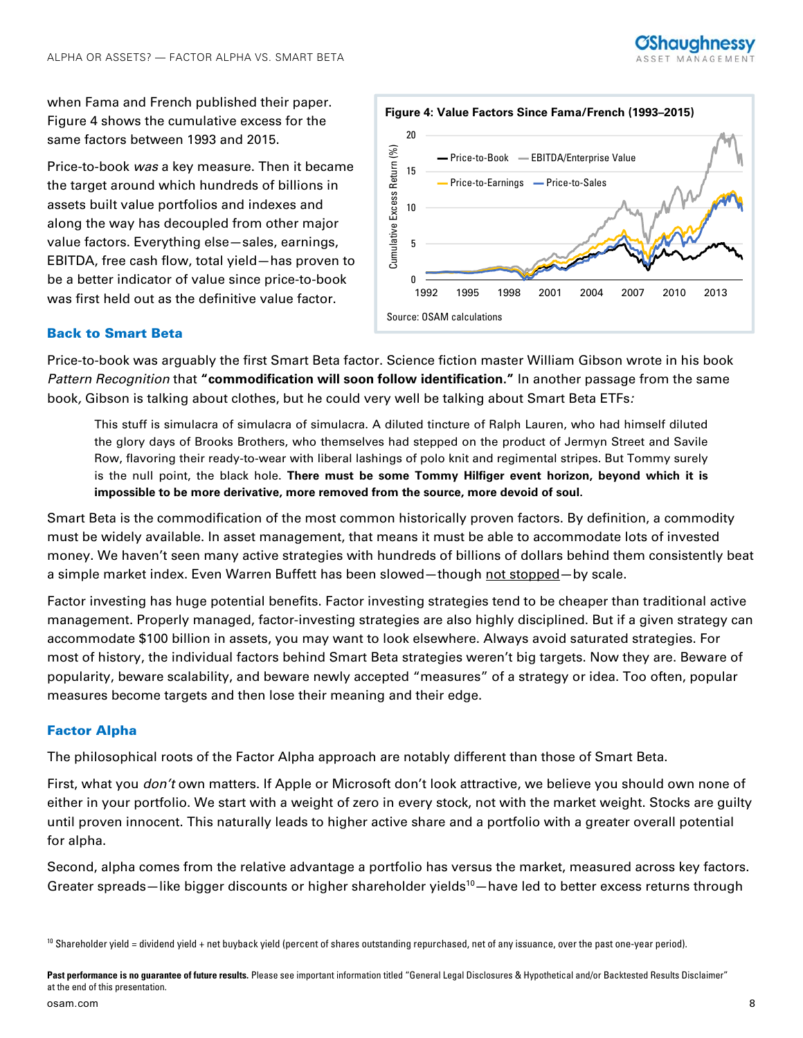

when Fama and French published their paper. Figure 4 shows the cumulative excess for the same factors between 1993 and 2015.

Price-to-book was a key measure. Then it became the target around which hundreds of billions in assets built value portfolios and indexes and along the way has decoupled from other major value factors. Everything else—sales, earnings, EBITDA, free cash flow, total yield—has proven to be a better indicator of value since price-to-book was first held out as the definitive value factor.



#### Back to Smart Beta

Price-to-book was arguably the first Smart Beta factor. Science fiction master William Gibson wrote in his book Pattern Recognition that **"commodification will soon follow identification."** In another passage from the same book, Gibson is talking about clothes, but he could very well be talking about Smart Beta ETFs:

This stuff is simulacra of simulacra of simulacra. A diluted tincture of Ralph Lauren, who had himself diluted the glory days of Brooks Brothers, who themselves had stepped on the product of Jermyn Street and Savile Row, flavoring their ready-to-wear with liberal lashings of polo knit and regimental stripes. But Tommy surely is the null point, the black hole. **There must be some Tommy Hilfiger event horizon, beyond which it is impossible to be more derivative, more removed from the source, more devoid of soul.** 

Smart Beta is the commodification of the most common historically proven factors. By definition, a commodity must be widely available. In asset management, that means it must be able to accommodate lots of invested money. We haven't seen many active strategies with hundreds of billions of dollars behind them consistently beat a simple market index. Even Warren Buffett has been slowed—though not stopped—by scale.

Factor investing has huge potential benefits. Factor investing strategies tend to be cheaper than traditional active management. Properly managed, factor-investing strategies are also highly disciplined. But if a given strategy can accommodate \$100 billion in assets, you may want to look elsewhere. Always avoid saturated strategies. For most of history, the individual factors behind Smart Beta strategies weren't big targets. Now they are. Beware of popularity, beware scalability, and beware newly accepted "measures" of a strategy or idea. Too often, popular measures become targets and then lose their meaning and their edge.

#### Factor Alpha

The philosophical roots of the Factor Alpha approach are notably different than those of Smart Beta.

First, what you *don't* own matters. If Apple or Microsoft don't look attractive, we believe you should own none of either in your portfolio. We start with a weight of zero in every stock, not with the market weight. Stocks are guilty until proven innocent. This naturally leads to higher active share and a portfolio with a greater overall potential for alpha.

Second, alpha comes from the relative advantage a portfolio has versus the market, measured across key factors. Greater spreads—like bigger discounts or higher shareholder yields<sup>10</sup>—have led to better excess returns through

Past performance is no guarantee of future results. Please see important information titled "General Legal Disclosures & Hypothetical and/or Backtested Results Disclaimer" at the end of this presentation. osam.com 8

<sup>&</sup>lt;sup>10</sup> Shareholder yield = dividend yield + net buyback yield (percent of shares outstanding repurchased, net of any issuance, over the past one-year period).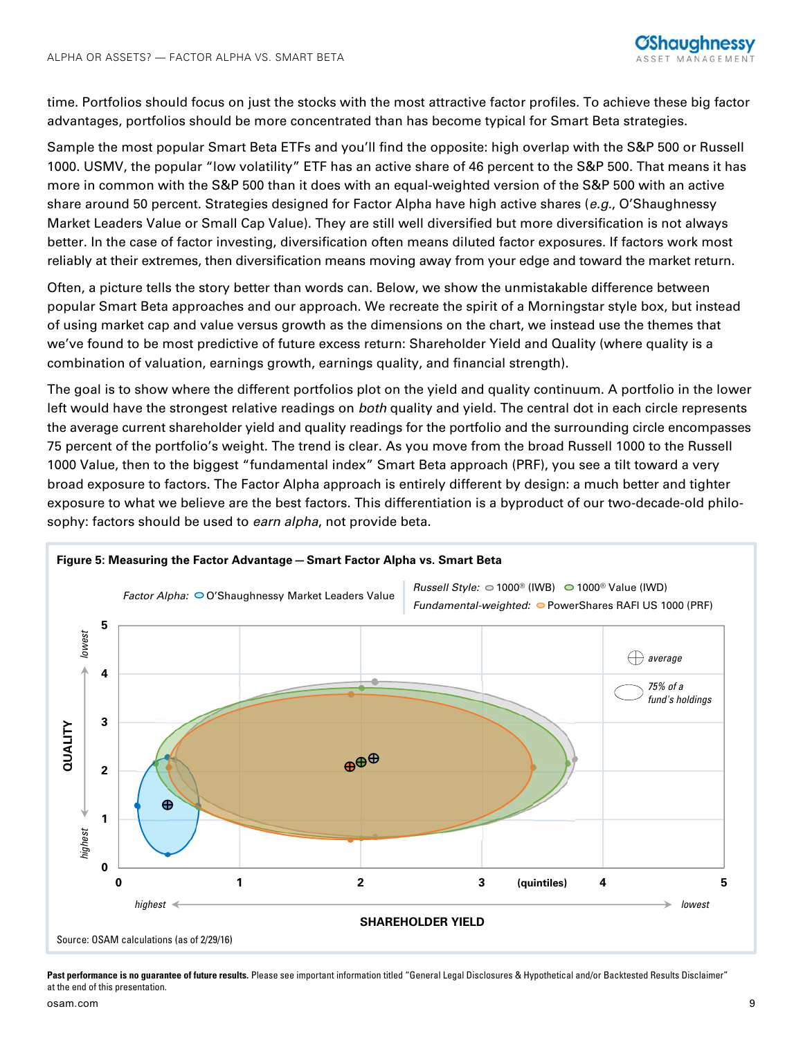time. Portfolios should focus on just the stocks with the most attractive factor profiles. To achieve these big factor advantages, portfolios should be more concentrated than has become typical for Smart Beta strategies.

Sample the most popular Smart Beta ETFs and you'll find the opposite: high overlap with the S&P 500 or Russell 1000. USMV, the popular "low volatility" ETF has an active share of 46 percent to the S&P 500. That means it has more in common with the S&P 500 than it does with an equal-weighted version of the S&P 500 with an active share around 50 percent. Strategies designed for Factor Alpha have high active shares (e.g., O'Shaughnessy Market Leaders Value or Small Cap Value). They are still well diversified but more diversification is not always better. In the case of factor investing, diversification often means diluted factor exposures. If factors work most reliably at their extremes, then diversification means moving away from your edge and toward the market return.

Often, a picture tells the story better than words can. Below, we show the unmistakable difference between popular Smart Beta approaches and our approach. We recreate the spirit of a Morningstar style box, but instead of using market cap and value versus growth as the dimensions on the chart, we instead use the themes that we've found to be most predictive of future excess return: Shareholder Yield and Quality (where quality is a combination of valuation, earnings growth, earnings quality, and financial strength).

The goal is to show where the different portfolios plot on the yield and quality continuum. A portfolio in the lower left would have the strongest relative readings on both quality and yield. The central dot in each circle represents the average current shareholder yield and quality readings for the portfolio and the surrounding circle encompasses 75 percent of the portfolio's weight. The trend is clear. As you move from the broad Russell 1000 to the Russell 1000 Value, then to the biggest "fundamental index" Smart Beta approach (PRF), you see a tilt toward a very broad exposure to factors. The Factor Alpha approach is entirely different by design: a much better and tighter exposure to what we believe are the best factors. This differentiation is a byproduct of our two-decade-old philosophy: factors should be used to earn alpha, not provide beta.



Past performance is no guarantee of future results. Please see important information titled "General Legal Disclosures & Hypothetical and/or Backtested Results Disclaimer" at the end of this presentation.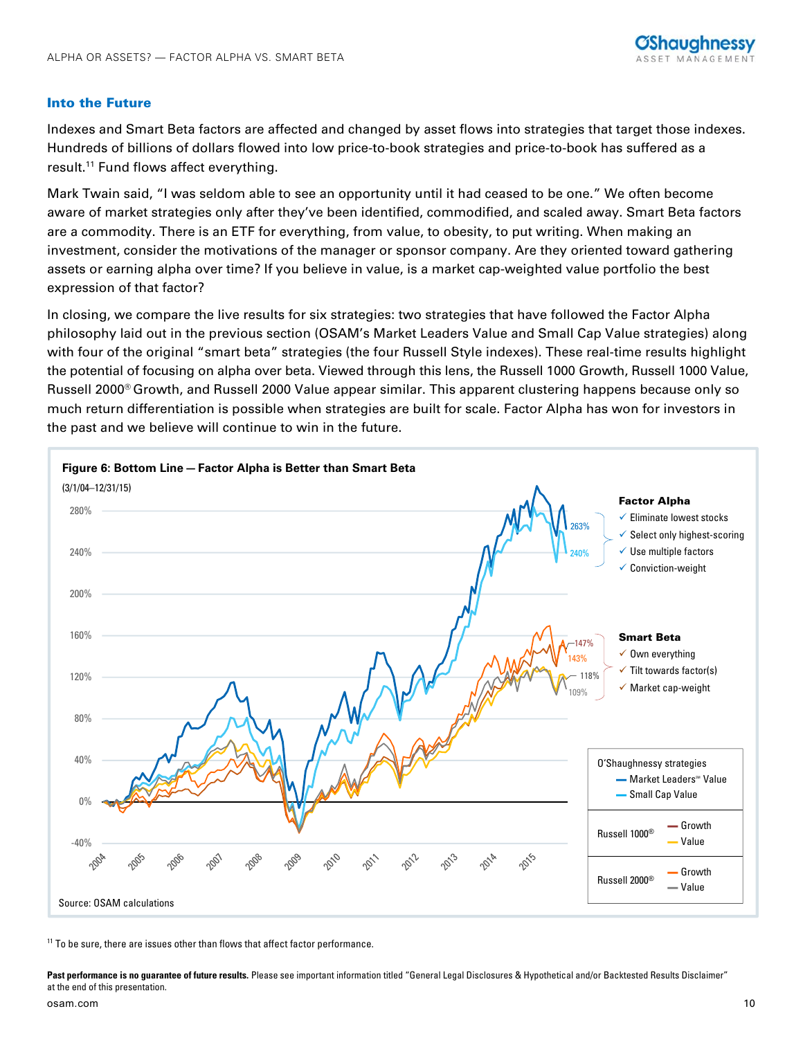#### Into the Future

Indexes and Smart Beta factors are affected and changed by asset flows into strategies that target those indexes. Hundreds of billions of dollars flowed into low price-to-book strategies and price-to-book has suffered as a result.<sup>11</sup> Fund flows affect everything.

Mark Twain said, "I was seldom able to see an opportunity until it had ceased to be one." We often become aware of market strategies only after they've been identified, commodified, and scaled away. Smart Beta factors are a commodity. There is an ETF for everything, from value, to obesity, to put writing. When making an investment, consider the motivations of the manager or sponsor company. Are they oriented toward gathering assets or earning alpha over time? If you believe in value, is a market cap-weighted value portfolio the best expression of that factor?

In closing, we compare the live results for six strategies: two strategies that have followed the Factor Alpha philosophy laid out in the previous section (OSAM's Market Leaders Value and Small Cap Value strategies) along with four of the original "smart beta" strategies (the four Russell Style indexes). These real-time results highlight the potential of focusing on alpha over beta. Viewed through this lens, the Russell 1000 Growth, Russell 1000 Value, Russell 2000<sup>®</sup> Growth, and Russell 2000 Value appear similar. This apparent clustering happens because only so much return differentiation is possible when strategies are built for scale. Factor Alpha has won for investors in the past and we believe will continue to win in the future.



<sup>11</sup> To be sure, there are issues other than flows that affect factor performance.

Past performance is no guarantee of future results. Please see important information titled "General Legal Disclosures & Hypothetical and/or Backtested Results Disclaimer" at the end of this presentation.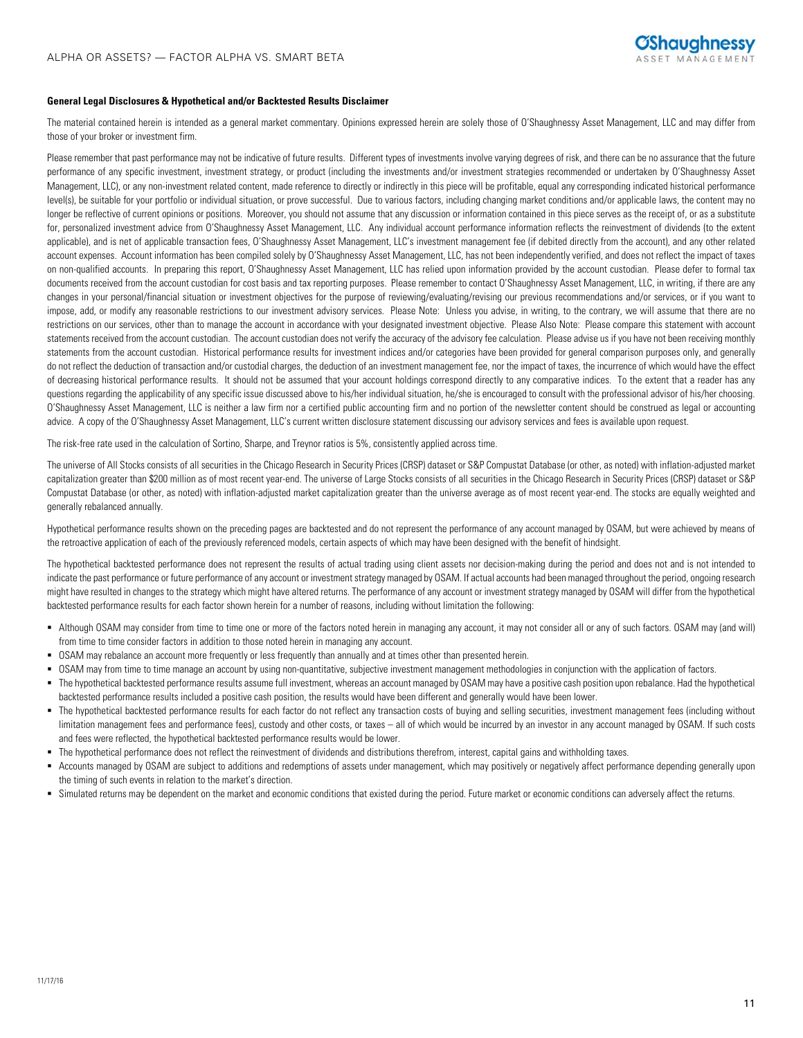#### **General Legal Disclosures & Hypothetical and/or Backtested Results Disclaimer**

The material contained herein is intended as a general market commentary. Opinions expressed herein are solely those of O'Shaughnessy Asset Management, LLC and may differ from those of your broker or investment firm.

Please remember that past performance may not be indicative of future results. Different types of investments involve varying degrees of risk, and there can be no assurance that the future performance of any specific investment, investment strategy, or product (including the investments and/or investment strategies recommended or undertaken by O'Shaughnessy Asset Management, LLC), or any non-investment related content, made reference to directly or indirectly in this piece will be profitable, equal any corresponding indicated historical performance level(s), be suitable for your portfolio or individual situation, or prove successful. Due to various factors, including changing market conditions and/or applicable laws, the content may no longer be reflective of current opinions or positions. Moreover, you should not assume that any discussion or information contained in this piece serves as the receipt of, or as a substitute for, personalized investment advice from O'Shaughnessy Asset Management, LLC. Any individual account performance information reflects the reinvestment of dividends (to the extent applicable), and is net of applicable transaction fees, O'Shaughnessy Asset Management, LLC's investment management fee (if debited directly from the account), and any other related account expenses. Account information has been compiled solely by O'Shaughnessy Asset Management, LLC, has not been independently verified, and does not reflect the impact of taxes on non-qualified accounts. In preparing this report, O'Shaughnessy Asset Management, LLC has relied upon information provided by the account custodian. Please defer to formal tax documents received from the account custodian for cost basis and tax reporting purposes. Please remember to contact O'Shaughnessy Asset Management, LLC, in writing, if there are any changes in your personal/financial situation or investment objectives for the purpose of reviewing/evaluating/revising our previous recommendations and/or services, or if you want to impose, add, or modify any reasonable restrictions to our investment advisory services. Please Note: Unless you advise, in writing, to the contrary, we will assume that there are no restrictions on our services, other than to manage the account in accordance with your designated investment objective. Please Also Note: Please compare this statement with account statements received from the account custodian. The account custodian does not verify the accuracy of the advisory fee calculation. Please advise us if you have not been receiving monthly statements from the account custodian. Historical performance results for investment indices and/or categories have been provided for general comparison purposes only, and generally do not reflect the deduction of transaction and/or custodial charges, the deduction of an investment management fee, nor the impact of taxes, the incurrence of which would have the effect of decreasing historical performance results. It should not be assumed that your account holdings correspond directly to any comparative indices. To the extent that a reader has any questions regarding the applicability of any specific issue discussed above to his/her individual situation, he/she is encouraged to consult with the professional advisor of his/her choosing. O'Shaughnessy Asset Management, LLC is neither a law firm nor a certified public accounting firm and no portion of the newsletter content should be construed as legal or accounting advice. A copy of the O'Shaughnessy Asset Management, LLC's current written disclosure statement discussing our advisory services and fees is available upon request.

The risk-free rate used in the calculation of Sortino, Sharpe, and Treynor ratios is 5%, consistently applied across time.

The universe of All Stocks consists of all securities in the Chicago Research in Security Prices (CRSP) dataset or S&P Compustat Database (or other, as noted) with inflation-adjusted market capitalization greater than \$200 million as of most recent year-end. The universe of Large Stocks consists of all securities in the Chicago Research in Security Prices (CRSP) dataset or S&P Compustat Database (or other, as noted) with inflation-adjusted market capitalization greater than the universe average as of most recent year-end. The stocks are equally weighted and generally rebalanced annually.

Hypothetical performance results shown on the preceding pages are backtested and do not represent the performance of any account managed by OSAM, but were achieved by means of the retroactive application of each of the previously referenced models, certain aspects of which may have been designed with the benefit of hindsight.

The hypothetical backtested performance does not represent the results of actual trading using client assets nor decision-making during the period and does not and is not intended to indicate the past performance or future performance of any account or investment strategy managed by OSAM. If actual accounts had been managed throughout the period, ongoing research might have resulted in changes to the strategy which might have altered returns. The performance of any account or investment strategy managed by OSAM will differ from the hypothetical backtested performance results for each factor shown herein for a number of reasons, including without limitation the following:

- Although OSAM may consider from time to time one or more of the factors noted herein in managing any account, it may not consider all or any of such factors. OSAM may (and will) from time to time consider factors in addition to those noted herein in managing any account.
- OSAM may rebalance an account more frequently or less frequently than annually and at times other than presented herein.
- OSAM may from time to time manage an account by using non-quantitative, subjective investment management methodologies in conjunction with the application of factors.
- The hypothetical backtested performance results assume full investment, whereas an account managed by OSAM may have a positive cash position upon rebalance. Had the hypothetical backtested performance results included a positive cash position, the results would have been different and generally would have been lower.
- The hypothetical backtested performance results for each factor do not reflect any transaction costs of buying and selling securities, investment management fees (including without limitation management fees and performance fees), custody and other costs, or taxes – all of which would be incurred by an investor in any account managed by OSAM. If such costs and fees were reflected, the hypothetical backtested performance results would be lower.
- The hypothetical performance does not reflect the reinvestment of dividends and distributions therefrom, interest, capital gains and withholding taxes.
- Accounts managed by OSAM are subject to additions and redemptions of assets under management, which may positively or negatively affect performance depending generally upon the timing of such events in relation to the market's direction.
- Simulated returns may be dependent on the market and economic conditions that existed during the period. Future market or economic conditions can adversely affect the returns.